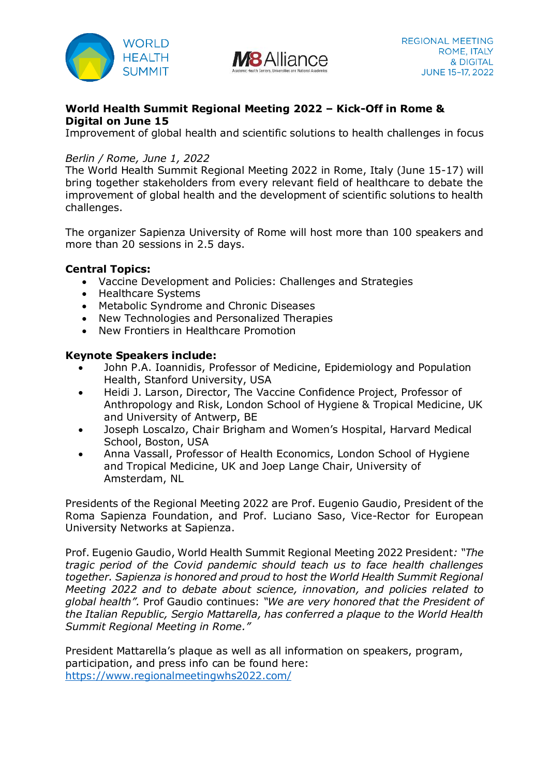



# **World Health Summit Regional Meeting 2022 – Kick-Off in Rome & Digital on June 15**

Improvement of global health and scientific solutions to health challenges in focus

# *Berlin / Rome, June 1, 2022*

The World Health Summit Regional Meeting 2022 in Rome, Italy (June 15-17) will bring together stakeholders from every relevant field of healthcare to debate the improvement of global health and the development of scientific solutions to health challenges.

The organizer Sapienza University of Rome will host more than 100 speakers and more than 20 sessions in 2.5 days.

# **Central Topics:**

- Vaccine Development and Policies: Challenges and Strategies
- Healthcare Systems
- Metabolic Syndrome and Chronic Diseases
- New Technologies and Personalized Therapies
- New Frontiers in Healthcare Promotion

### **Keynote Speakers include:**

- John P.A. Ioannidis, Professor of Medicine, Epidemiology and Population Health, Stanford University, USA
- Heidi J. Larson, Director, The Vaccine Confidence Project, Professor of Anthropology and Risk, London School of Hygiene & Tropical Medicine, UK and University of Antwerp, BE
- Joseph Loscalzo, Chair Brigham and Women's Hospital, Harvard Medical School, Boston, USA
- Anna Vassall, Professor of Health Economics, London School of Hygiene and Tropical Medicine, UK and Joep Lange Chair, University of Amsterdam, NL

Presidents of the Regional Meeting 2022 are Prof. Eugenio Gaudio, President of the Roma Sapienza Foundation, and Prof. Luciano Saso, Vice-Rector for European University Networks at Sapienza.

Prof. Eugenio Gaudio, World Health Summit Regional Meeting 2022 President*: "The tragic period of the Covid pandemic should teach us to face health challenges together. Sapienza is honored and proud to host the World Health Summit Regional Meeting 2022 and to debate about science, innovation, and policies related to global health".* Prof Gaudio continues: *"We are very honored that the President of the Italian Republic, Sergio Mattarella, has conferred a plaque to the World Health Summit Regional Meeting in Rome."*

President Mattarella's plaque as well as all information on speakers, program, participation, and press info can be found here: <https://www.regionalmeetingwhs2022.com/>